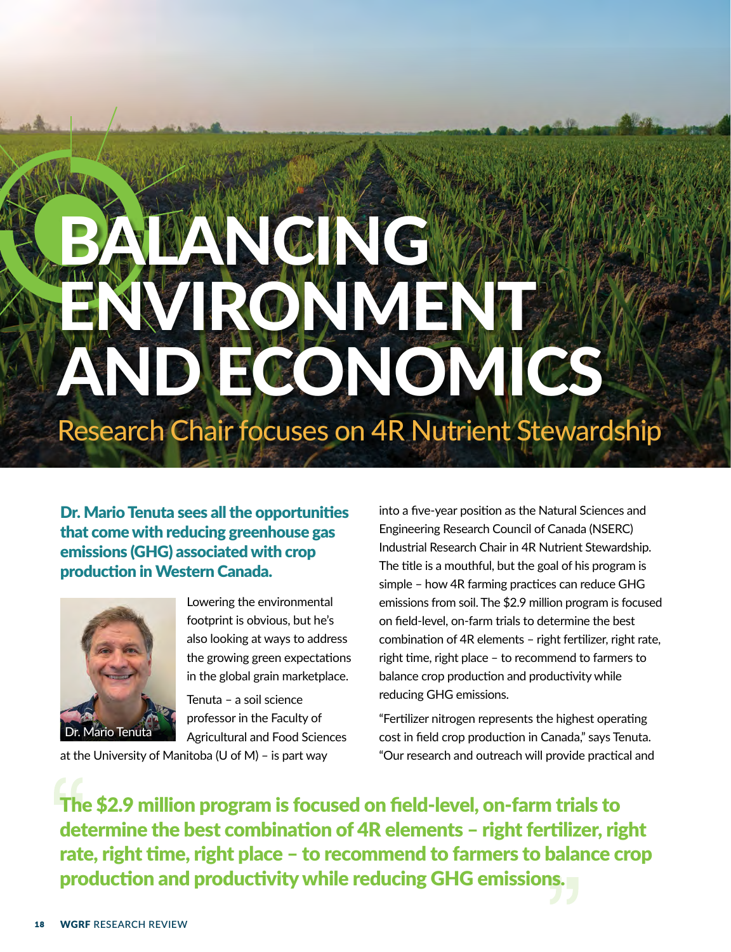# LANGING VRONMENT AND ECONOMICS Research Chair focuses on 4R Nutrient Stewardship

Dr. Mario Tenuta sees all the opportunities that come with reducing greenhouse gas emissions (GHG) associated with crop production in Western Canada.



Lowering the environmental footprint is obvious, but he's also looking at ways to address the growing green expectations in the global grain marketplace.

Tenuta – a soil science professor in the Faculty of Agricultural and Food Sciences

at the University of Manitoba (U of M) – is part way

into a five-year position as the Natural Sciences and Engineering Research Council of Canada (NSERC) Industrial Research Chair in 4R Nutrient Stewardship. The title is a mouthful, but the goal of his program is simple – how 4R farming practices can reduce GHG emissions from soil. The \$2.9 million program is focused on field-level, on-farm trials to determine the best combination of 4R elements – right fertilizer, right rate, right time, right place – to recommend to farmers to balance crop production and productivity while reducing GHG emissions.

"Fertilizer nitrogen represents the highest operating cost in field crop production in Canada," says Tenuta. "Our research and outreach will provide practical and

The \$2.9 million program is focused on field-level, on-farm trials to determine the best combination of 4R elements - right fertilizer, right rate, right time, right place – to recommend to farmers to balance crop production and productivity while reducing GHG emissions.